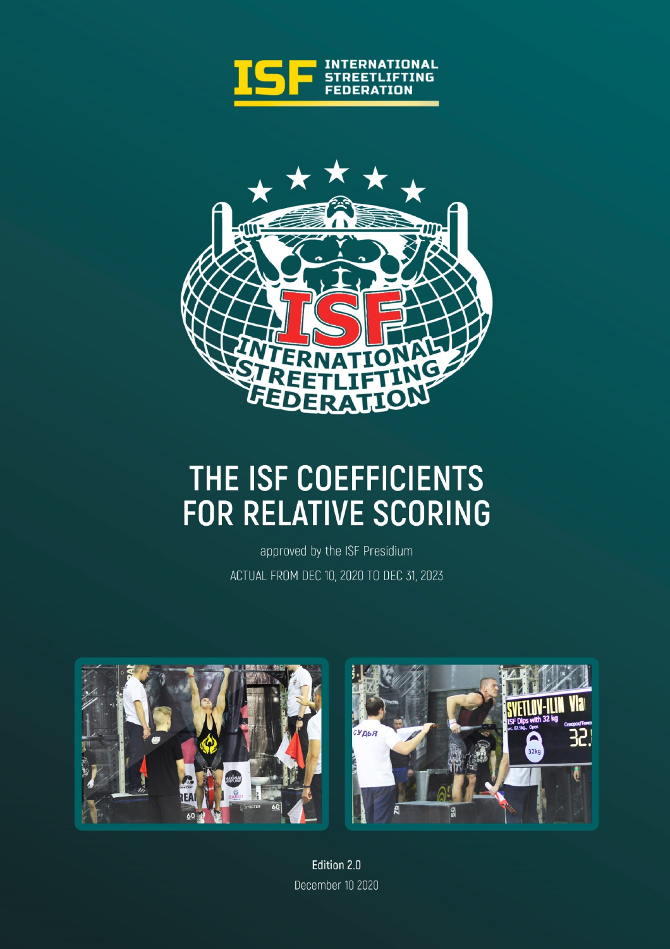



## THE ISF COEFFICIENTS FOR RELATIVE SCORING

approved by the ISF Presidium ACTUAL FROM DEC 10, 2020 TO DEC 31, 2023





Edition 2.0 December 10 2020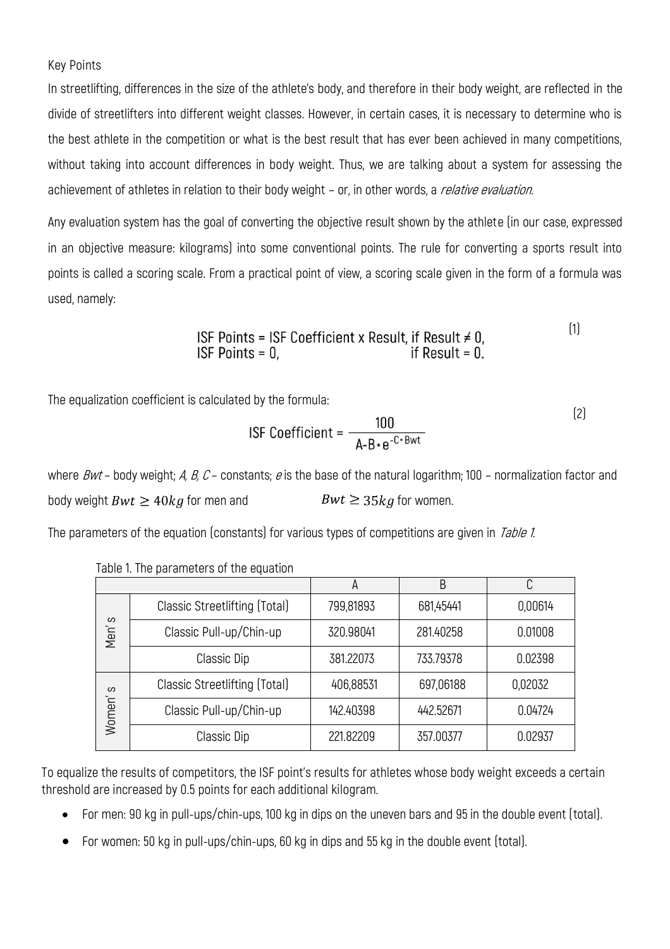## Key Points

In streetlifting, differences in the size of the athlete's body, and therefore in their body weight, are reflected in the divide of streetlifters into different weight classes. However, in certain cases, it is necessary to determine who is the best athlete in the competition or what is the best result that has ever been achieved in many competitions, without taking into account differences in body weight. Thus, we are talking about a system for assessing the achievement of athletes in relation to their body weight - or, in other words, a *relative evaluation*.

Any evaluation system has the goal of converting the objective result shown by the athlete (in our case, expressed in an objective measure: kilograms) into some conventional points. The rule for converting a sports result into points is called a scoring scale. From a practical point of view, a scoring scale given in the form of a formula was used, namely:

(1)

The equalization coefficient is calculated by the formula:

$$
ISF Coefficient = \frac{100}{A - B * e^{-C * Bwt}}
$$
 (2)

where Bwt – body weight; A, B, C – constants; e is the base of the natural logarithm; 100 – normalization factor and body weight  $Bwt \ge 40kg$  for men and  $Bwt \ge 35kg$  for women.

The parameters of the equation (constants) for various types of competitions are given in Table 1.

|             |                               | A         | B         | ◠       |
|-------------|-------------------------------|-----------|-----------|---------|
| တ<br>Men'   | Classic Streetlifting (Total) | 799,81893 | 681,45441 | 0,00614 |
|             | Classic Pull-up/Chin-up       | 320.98041 | 281.40258 | 0.01008 |
|             | Classic Dip                   | 381.22073 | 733.79378 | 0.02398 |
| ပ<br>Women' | Classic Streetlifting (Total) | 406,88531 | 697,06188 | 0,02032 |
|             | Classic Pull-up/Chin-up       | 142.40398 | 442.52671 | 0.04724 |
|             | Classic Dip                   | 221.82209 | 357.00377 | 0.02937 |

Table 1. The parameters of the equation

To equalize the results of competitors, the ISF point's results for athletes whose body weight exceeds a certain threshold are increased by 0.5 points for each additional kilogram.

- For men: 90 kg in pull-ups/chin-ups, 100 kg in dips on the uneven bars and 95 in the double event (total).
- For women: 50 kg in pull-ups/chin-ups, 60 kg in dips and 55 kg in the double event (total).